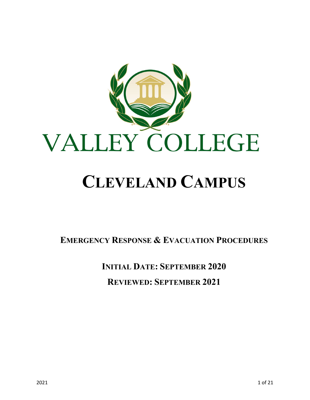

# **CLEVELAND CAMPUS**

**EMERGENCY RESPONSE & EVACUATION PROCEDURES**

**INITIAL DATE: SEPTEMBER 2020 REVIEWED: SEPTEMBER 2021**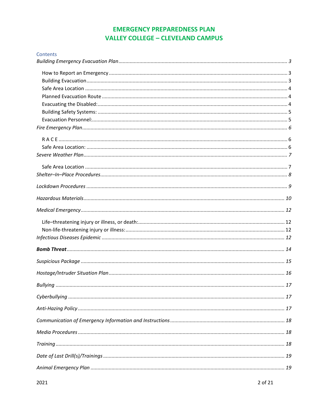## **EMERGENCY PREPAREDNESS PLAN VALLEY COLLEGE - CLEVELAND CAMPUS**

| Contents |  |
|----------|--|
|          |  |
|          |  |
|          |  |
|          |  |
|          |  |
|          |  |
|          |  |
|          |  |
|          |  |
|          |  |
|          |  |
|          |  |
|          |  |
|          |  |
|          |  |
|          |  |
|          |  |
|          |  |
|          |  |
|          |  |
|          |  |
|          |  |
|          |  |
|          |  |
|          |  |
|          |  |
|          |  |
|          |  |
|          |  |
|          |  |
|          |  |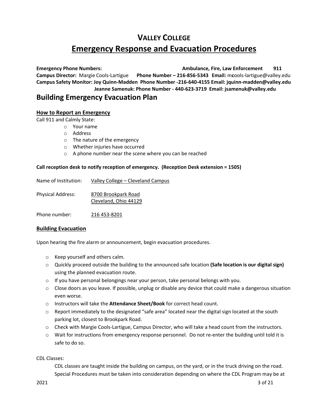## **VALLEY COLLEGE Emergency Response and Evacuation Procedures**

**Emergency Phone Numbers: Ambulance, Fire, Law Enforcement 911 Campus Director:** Margie Cools-Lartigue **Phone Number – 216-856-5343 Email:** m**c**ools-lartigue@valley.edu **Campus Safety Monitor: Joy Quinn-Madden Phone Number -216-640-4155 Email: jquinn-madden@valley.edu Jeanne Samenuk: Phone Number - 440-623-3719 Email: jsamenuk@valley.edu**

## <span id="page-2-0"></span>**Building Emergency Evacuation Plan**

## <span id="page-2-1"></span>**How to Report an Emergency**

Call 911 and Calmly State:

- o Your name
- o Address
- o The nature of the emergency
- o Whether injuries have occurred
- o A phone number near the scene where you can be reached

## **Call reception desk to notify reception of emergency. (Reception Desk extension = 1505)**

| Name of Institution:     | Valley College - Cleveland Campus            |
|--------------------------|----------------------------------------------|
| <b>Physical Address:</b> | 8700 Brookpark Road<br>Cleveland, Ohio 44129 |
| Phone number:            | 216 453-8201                                 |

## <span id="page-2-2"></span>**Building Evacuation**

Upon hearing the fire alarm or announcement, begin evacuation procedures.

- o Keep yourself and others calm.
- o Quickly proceed outside the building to the announced safe location **(Safe location is our digital sign)** using the planned evacuation route.
- $\circ$  If you have personal belongings near your person, take personal belongs with you.
- $\circ$  Close doors as you leave. If possible, unplug or disable any device that could make a dangerous situation even worse.
- o Instructors will take the **Attendance Sheet/Book** for correct head count.
- $\circ$  Report immediately to the designated "safe area" located near the digital sign located at the south parking lot, closest to Brookpark Road.
- o Check with Margie Cools-Lartigue, Campus Director, who will take a head count from the instructors.
- o Wait for instructions from emergency response personnel. Do not re-enter the building until told it is safe to do so.

CDL Classes:

CDL classes are taught inside the building on campus, on the yard, or in the truck driving on the road. Special Procedures must be taken into consideration depending on where the CDL Program may be at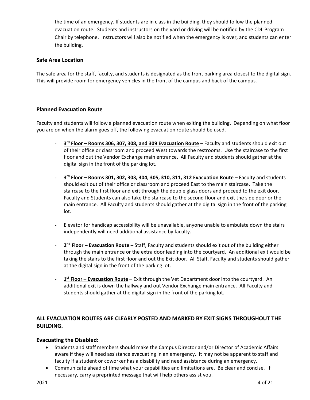the time of an emergency. If students are in class in the building, they should follow the planned evacuation route. Students and instructors on the yard or driving will be notified by the CDL Program Chair by telephone. Instructors will also be notified when the emergency is over, and students can enter the building.

## <span id="page-3-0"></span>**Safe Area Location**

The safe area for the staff, faculty, and students is designated as the front parking area closest to the digital sign. This will provide room for emergency vehicles in the front of the campus and back of the campus.

## <span id="page-3-1"></span>**Planned Evacuation Route**

Faculty and students will follow a planned evacuation route when exiting the building. Depending on what floor you are on when the alarm goes off, the following evacuation route should be used.

- **3rd Floor – Rooms 306, 307, 308, and 309 Evacuation Route** Faculty and students should exit out of their office or classroom and proceed West towards the restrooms. Use the staircase to the first floor and out the Vendor Exchange main entrance. All Faculty and students should gather at the digital sign in the front of the parking lot.
- **3rd Floor – Rooms 301, 302, 303, 304, 305, 310, 311, 312 Evacuation Route** Faculty and students should exit out of their office or classroom and proceed East to the main staircase. Take the staircase to the first floor and exit through the double glass doors and proceed to the exit door. Faculty and Students can also take the staircase to the second floor and exit the side door or the main entrance. All Faculty and students should gather at the digital sign in the front of the parking lot.
- Elevator for handicap accessibility will be unavailable, anyone unable to ambulate down the stairs independently will need additional assistance by faculty.
- **2nd Floor – Evacuation Route** Staff, Faculty and students should exit out of the building either through the main entrance or the extra door leading into the courtyard. An additional exit would be taking the stairs to the first floor and out the Exit door. All Staff, Faculty and students should gather at the digital sign in the front of the parking lot.
- **1st Floor – Evacuation Route** Exit through the Vet Department door into the courtyard. An additional exit is down the hallway and out Vendor Exchange main entrance. All Faculty and students should gather at the digital sign in the front of the parking lot.

## **ALL EVACUATION ROUTES ARE CLEARLY POSTED AND MARKED BY EXIT SIGNS THROUGHOUT THE BUILDING.**

## <span id="page-3-2"></span>**Evacuating the Disabled:**

- Students and staff members should make the Campus Director and/or Director of Academic Affairs aware if they will need assistance evacuating in an emergency. It may not be apparent to staff and faculty if a student or coworker has a disability and need assistance during an emergency.
- Communicate ahead of time what your capabilities and limitations are. Be clear and concise. If necessary, carry a preprinted message that will help others assist you.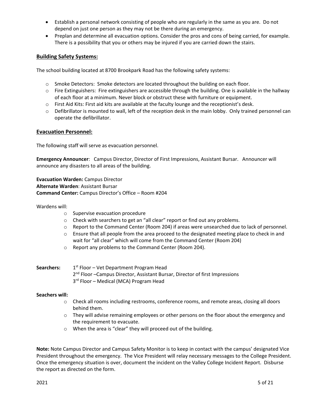- Establish a personal network consisting of people who are regularly in the same as you are. Do not depend on just one person as they may not be there during an emergency.
- Preplan and determine all evacuation options. Consider the pros and cons of being carried, for example. There is a possibility that you or others may be injured if you are carried down the stairs.

## <span id="page-4-0"></span>**Building Safety Systems:**

The school building located at 8700 Brookpark Road has the following safety systems:

- $\circ$  Smoke Detectors: Smoke detectors are located throughout the building on each floor.
- o Fire Extinguishers: Fire extinguishers are accessible through the building. One is available in the hallway of each floor at a minimum. Never block or obstruct these with furniture or equipment.
- o First Aid Kits: First aid kits are available at the faculty lounge and the receptionist's desk.
- o Defibrillator is mounted to wall, left of the reception desk in the main lobby. Only trained personnel can operate the defibrillator.

#### <span id="page-4-1"></span>**Evacuation Personnel:**

The following staff will serve as evacuation personnel.

**Emergency Announcer**: Campus Director, Director of First Impressions, Assistant Bursar. Announcer will announce any disasters to all areas of the building.

**Evacuation Warden:** Campus Director **Alternate Warden**: Assistant Bursar **Command Center:** Campus Director's Office – Room #204

#### Wardens will:

- o Supervise evacuation procedure
- o Check with searchers to get an "all clear" report or find out any problems.
- o Report to the Command Center (Room 204) if areas were unsearched due to lack of personnel.
- $\circ$  Ensure that all people from the area proceed to the designated meeting place to check in and wait for "all clear" which will come from the Command Center (Room 204)
- o Report any problems to the Command Center (Room 204).

#### **Searchers:** 1<sup>st</sup> Floor – Vet Department Program Head 2<sup>nd</sup> Floor -Campus Director, Assistant Bursar, Director of first Impressions 3<sup>rd</sup> Floor – Medical (MCA) Program Head

#### **Seachers will:**

- o Check all rooms including restrooms, conference rooms, and remote areas, closing all doors behind them.
- o They will advise remaining employees or other persons on the floor about the emergency and the requirement to evacuate.
- o When the area is "clear" they will proceed out of the building.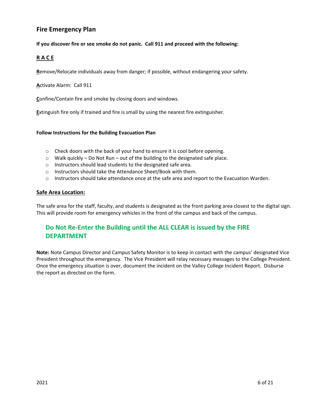## <span id="page-5-0"></span>**Fire Emergency Plan**

#### **If you discover fire or see smoke do not panic. Call 911 and proceed with the following:**

## <span id="page-5-1"></span>**R A C E**

**R**emove/Relocate individuals away from danger; if possible, without endangering your safety.

**A**ctivate Alarm: Call 911

**C**onfine/Contain fire and smoke by closing doors and windows.

**E**xtinguish fire only if trained and fire is small by using the nearest fire extinguisher.

#### **Follow Instructions for the Building Evacuation Plan**

- $\circ$  Check doors with the back of your hand to ensure it is cool before opening.
- o Walk quickly Do Not Run out of the building to the designated safe place.
- o Instructors should lead students to the designated safe area.
- o Instructors should take the Attendance Sheet/Book with them.
- $\circ$  Instructors should take attendance once at the safe area and report to the Evacuation Warden.

#### <span id="page-5-2"></span>**Safe Area Location:**

The safe area for the staff, faculty, and students is designated as the front parking area closest to the digital sign. This will provide room for emergency vehicles in the front of the campus and back of the campus.

## **Do Not Re-Enter the Building until the ALL CLEAR is issued by the FIRE DEPARTMENT**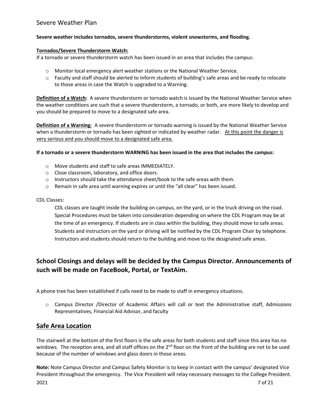## <span id="page-6-0"></span>Severe Weather Plan

#### **Severe weather includes tornados, severe thunderstorms, violent snowstorms, and flooding.**

#### **Tornados/Severe Thunderstorm Watch:**

If a tornado or severe thunderstorm watch has been issued in an area that includes the campus:

- o Monitor local emergency alert weather stations or the National Weather Service.
- o Faculty and staff should be alerted to inform students of building's safe areas and be ready to relocate to those areas in case the Watch is upgraded to a Warning.

**Definition of a Watch:** A severe thunderstorm or tornado watch is issued by the National Weather Service when the weather conditions are such that a severe thunderstorm, a tornado, or both, are more likely to develop and you should be prepared to move to a designated safe area.

**Definition of a Warning**: A severe thunderstorm or tornado warning is issued by the National Weather Service when a thunderstorm or tornado has been sighted or indicated by weather radar. At this point the danger is very serious and you should move to a designated safe area.

#### **If a tornado or a severe thunderstorm WARNING has been issued in the area that includes the campus:**

- o Move students and staff to safe areas IMMEDIATELY.
- o Close classroom, laboratory, and office doors.
- $\circ$  Instructors should take the attendance sheet/book to the safe areas with them.
- $\circ$  Remain in safe area until warning expires or until the "all clear" has been issued.

#### CDL Classes:

CDL classes are taught inside the building on campus, on the yard, or in the truck driving on the road. Special Procedures must be taken into consideration depending on where the CDL Program may be at the time of an emergency. If students are in class within the building, they should move to safe areas. Students and instructors on the yard or driving will be notified by the CDL Program Chair by telephone. Instructors and students should return to the building and move to the designated safe areas.

## **School Closings and delays will be decided by the Campus Director. Announcements of such will be made on FaceBook, Portal, or TextAim.**

A phone tree has been established if calls need to be made to staff in emergency situations.

o Campus Director /Director of Academic Affairs will call or text the Administrative staff, Admissions Representatives, Financial Aid Advisor, and faculty

## <span id="page-6-1"></span>**Safe Area Location**

The stairwell at the bottom of the first floors is the safe areas for both students and staff since this area has no windows. The reception area, and all staff offices on the 2<sup>nd</sup> floor on the front of the building are not to be used because of the number of windows and glass doors in those areas.

**Note:** Note Campus Director and Campus Safety Monitor is to keep in contact with the campus' designated Vice President throughout the emergency. The Vice President will relay necessary messages to the College President.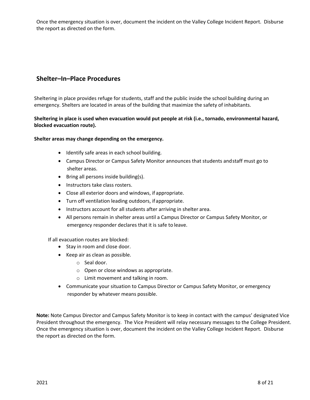Once the emergency situation is over, document the incident on the Valley College Incident Report. Disburse the report as directed on the form.

## <span id="page-7-0"></span>**Shelter–In–Place Procedures**

Sheltering in place provides refuge for students, staff and the public inside the school building during an emergency. Shelters are located in areas of the building that maximize the safety of inhabitants.

## **Sheltering in place is used when evacuation would put people at risk (i.e., tornado, environmental hazard, blocked evacuation route).**

#### **Shelter areas may change depending on the emergency.**

- Identify safe areas in each school building.
- Campus Director or Campus Safety Monitor announces that students andstaff must go to shelter areas.
- Bring all persons inside building(s).
- Instructors take class rosters.
- Close all exterior doors and windows, if appropriate.
- Turn off ventilation leading outdoors, ifappropriate.
- Instructors account for all students after arriving in shelter area.
- All persons remain in shelter areas until a Campus Director or Campus Safety Monitor, or emergency responder declares that it is safe to leave.

If all evacuation routes are blocked:

- Stay in room and close door.
- Keep air as clean as possible.
	- o Seal door.
	- o Open or close windows as appropriate.
	- o Limit movement and talking in room.
- Communicate your situation to Campus Director or Campus Safety Monitor, or emergency responder by whatever means possible.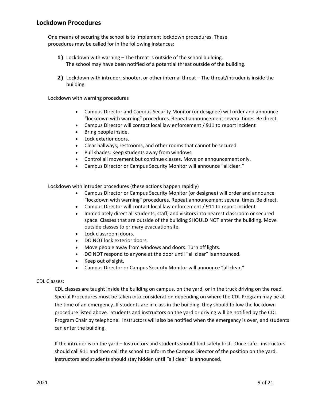<span id="page-8-0"></span>One means of securing the school is to implement lockdown procedures. These procedures may be called for in the following instances:

- **1)** Lockdown with warning The threat is outside of the school building. The school may have been notified of a potential threat outside of the building.
- **2)** Lockdown with intruder, shooter, or other internal threat The threat/intruder is inside the building.

Lockdown with warning procedures

- Campus Director and Campus Security Monitor (or designee) will order and announce "lockdown with warning" procedures. Repeat announcement several times.Be direct.
- Campus Director will contact local law enforcement / 911 to report incident
- Bring people inside.
- Lock exterior doors.
- Clear hallways, restrooms, and other rooms that cannot be secured.
- Pull shades. Keep students away from windows.
- Control all movement but continue classes. Move on announcementonly.
- Campus Director or Campus Security Monitor will announce "allclear."

Lockdown with intruder procedures (these actions happen rapidly)

- Campus Director or Campus Security Monitor (or designee) will order and announce "lockdown with warning" procedures. Repeat announcement several times.Be direct.
- Campus Director will contact local law enforcement / 911 to report incident
- Immediately direct all students, staff, and visitors into nearest classroom or secured space. Classes that are outside of the building SHOULD NOT enter the building. Move outside classes to primary evacuation site.
- Lock classroom doors.
- DO NOT lock exterior doors.
- Move people away from windows and doors. Turn off lights.
- DO NOT respond to anyone at the door until "all clear" is announced.
- Keep out of sight.
- Campus Director or Campus Security Monitor will announce "all clear."

#### CDL Classes:

CDL classes are taught inside the building on campus, on the yard, or in the truck driving on the road. Special Procedures must be taken into consideration depending on where the CDL Program may be at the time of an emergency. If students are in class in the building, they should follow the lockdown procedure listed above. Students and instructors on the yard or driving will be notified by the CDL Program Chair by telephone. Instructors will also be notified when the emergency is over, and students can enter the building.

If the intruder is on the yard – Instructors and students should find safety first. Once safe - instructors should call 911 and then call the school to inform the Campus Director of the position on the yard. Instructors and students should stay hidden until "all clear" is announced.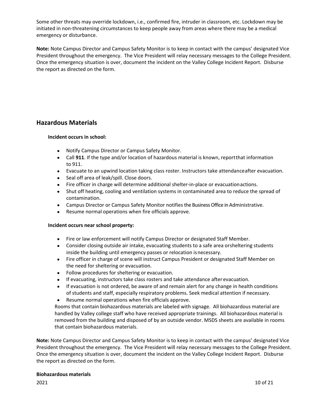Some other threats may override lockdown, i.e., confirmed fire, intruder in classroom, etc. Lockdown may be initiated in non-threatening circumstances to keep people away from areas where there may be a medical emergency or disturbance.

**Note:** Note Campus Director and Campus Safety Monitor is to keep in contact with the campus' designated Vice President throughout the emergency. The Vice President will relay necessary messages to the College President. Once the emergency situation is over, document the incident on the Valley College Incident Report. Disburse the report as directed on the form.

## <span id="page-9-0"></span>**Hazardous Materials**

#### **Incident occurs in school:**

- Notify Campus Director or Campus Safety Monitor.
- Call **911**. If the type and/or location of hazardous material is known, reportthat information to 911.
- Evacuate to an upwind location taking class roster. Instructors take attendanceafter evacuation.
- Seal off area of leak/spill. Close doors.
- Fire officer in charge will determine additional shelter-in-place or evacuationactions.
- Shut off heating, cooling and ventilation systems in contaminated area to reduce the spread of contamination.
- Campus Director or Campus Safety Monitor notifiesthe Business Office in Administrative.
- Resume normal operations when fire officials approve.

#### **Incident occurs near school property:**

- Fire or law enforcement will notify Campus Director or designated Staff Member.
- Consider closing outside air intake, evacuating students to a safe area orsheltering students inside the building until emergency passes or relocation isnecessary.
- Fire officer in charge of scene will instruct Campus President or designated Staff Member on the need for sheltering or evacuation.
- Follow procedures for sheltering or evacuation.
- If evacuating, instructors take class rosters and take attendance after evacuation.
- If evacuation is not ordered, be aware of and remain alert for any change in health conditions of students and staff, especially respiratory problems. Seek medical attention if necessary.
- Resume normal operations when fire officials approve.

Rooms that contain biohazardous materials are labeled with signage. All biohazardous material are handled by Valley college staff who have received appropriate trainings. All biohazardous material is removed from the building and disposed of by an outside vendor. MSDS sheets are available in rooms that contain biohazardous materials.

**Note:** Note Campus Director and Campus Safety Monitor is to keep in contact with the campus' designated Vice President throughout the emergency. The Vice President will relay necessary messages to the College President. Once the emergency situation is over, document the incident on the Valley College Incident Report. Disburse the report as directed on the form.

#### **Biohazardous materials**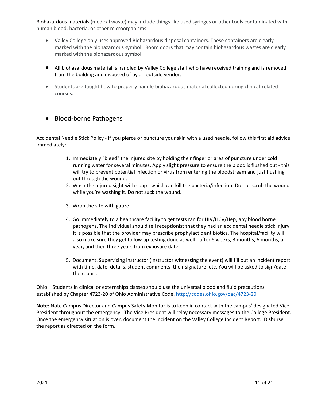Biohazardous materials (medical waste) may include things like used syringes or other tools contaminated with human blood, bacteria, or other microorganisms.

- Valley College only uses approved Biohazardous disposal containers. These containers are clearly marked with the biohazardous symbol. Room doors that may contain biohazardous wastes are clearly marked with the biohazardous symbol.
- All biohazardous material is handled by Valley College staff who have received training and is removed from the building and disposed of by an outside vendor.
- Students are taught how to properly handle biohazardous material collected during clinical-related courses.

## • Blood-borne Pathogens

Accidental Needle Stick Policy - If you pierce or puncture your skin with a used needle, follow this first aid advice immediately:

- 1. Immediately "bleed" the injured site by holding their finger or area of puncture under cold running water for several minutes. Apply slight pressure to ensure the blood is flushed out - this will try to prevent potential infection or virus from entering the bloodstream and just flushing out through the wound.
- 2. Wash the injured sight with soap which can kill the bacteria/infection. Do not scrub the wound while you're washing it. Do not suck the wound.
- 3. Wrap the site with gauze.
- 4. Go immediately to a healthcare facility to get tests ran for HIV/HCV/Hep, any blood borne pathogens. The individual should tell receptionist that they had an accidental needle stick injury. It is possible that the provider may prescribe prophylactic antibiotics. The hospital/facility will also make sure they get follow up testing done as well - after 6 weeks, 3 months, 6 months, a year, and then three years from exposure date.
- 5. Document. Supervising instructor (instructor witnessing the event) will fill out an incident report with time, date, details, student comments, their signature, etc. You will be asked to sign/date the report.

Ohio: Students in clinical or externships classes should use the universal blood and fluid precautions established by Chapter 4723-20 of Ohio Administrative Code.<http://codes.ohio.gov/oac/4723-20>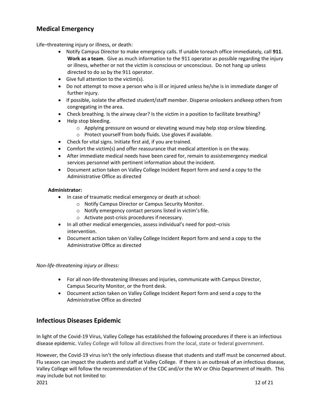## <span id="page-11-0"></span>**Medical Emergency**

<span id="page-11-1"></span>Life–threatening injury or illness, or death:

- Notify Campus Director to make emergency calls. If unable toreach office immediately, call **911**. **Work as a team**. Give as much information to the 911 operator as possible regarding the injury or illness, whether or not the victim is conscious or unconscious. Do not hang up unless directed to do so by the 911 operator.
- Give full attention to the victim(s).
- Do not attempt to move a person who is ill or injured unless he/she is in immediate danger of further injury.
- If possible, isolate the affected student/staff member. Disperse onlookers andkeep others from congregating in the area.
- Check breathing. Is the airway clear? Is the victim in a position to facilitate breathing?
- Help stop bleeding.
	- $\circ$  Applying pressure on wound or elevating wound may help stop orslow bleeding.
	- o Protect yourself from body fluids. Use gloves if available.
- Check for vital signs. Initiate first aid, if you are trained.
- Comfort the victim(s) and offer reassurance that medical attention is on theway.
- After immediate medical needs have been cared for, remain to assistemergency medical services personnel with pertinent information about the incident.
- Document action taken on Valley College Incident Report form and send a copy to the Administrative Office as directed

## **Administrator:**

- In case of traumatic medical emergency or death at school:
	- o Notify Campus Director or Campus Security Monitor.
	- o Notify emergency contact persons listed in victim'sfile.
	- o Activate post-crisis procedures if necessary.
- In all other medical emergencies, assess individual's need for post–crisis intervention.
- Document action taken on Valley College Incident Report form and send a copy to the Administrative Office as directed

<span id="page-11-2"></span>*Non-life-threatening injury or illness:*

- For all non-life-threatening illnesses and injuries, communicate with Campus Director, Campus Security Monitor, or the front desk.
- Document action taken on Valley College Incident Report form and send a copy to the Administrative Office as directed

## <span id="page-11-3"></span>**Infectious Diseases Epidemic**

In light of the Covid-19 Virus, Valley College has established the following procedures if there is an infectious disease epidemic. Valley College will follow all directives from the local, state or federal government.

However, the Covid-19 virus isn't the only infectious disease that students and staff must be concerned about. Flu season can impact the students and staff at Valley College. If there is an outbreak of an infectious disease, Valley College will follow the recommendation of the CDC and/or the WV or Ohio Department of Health. This may include but not limited to: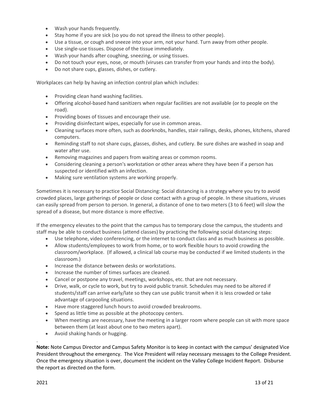- Wash your hands frequently.
- Stay home if you are sick (so you do not spread the illness to other people).
- Use a tissue, or cough and sneeze into your arm, not your hand. Turn away from other people.
- Use single-use tissues. Dispose of the tissue immediately.
- Wash your hands after coughing, sneezing, or using tissues.
- Do not touch your eyes, nose, or mouth (viruses can transfer from your hands and into the body).
- Do not share cups, glasses, dishes, or cutlery.

Workplaces can help by having an infection control plan which includes:

- Providing clean hand washing facilities.
- Offering alcohol-based hand sanitizers when regular facilities are not available (or to people on the road).
- Providing boxes of tissues and encourage their use.
- Providing disinfectant wipes, especially for use in common areas.
- Cleaning surfaces more often, such as doorknobs, handles, stair railings, desks, phones, kitchens, shared computers.
- Reminding staff to not share cups, glasses, dishes, and cutlery. Be sure dishes are washed in soap and water after use.
- Removing magazines and papers from waiting areas or common rooms.
- Considering cleaning a person's workstation or other areas where they have been if a person has suspected or identified with an infection.
- Making sure ventilation systems are working properly.

Sometimes it is necessary to practice Social Distancing: Social distancing is a strategy where you try to avoid crowded places, large gatherings of people or close contact with a group of people. In these situations, viruses can easily spread from person to person. In general, a distance of one to two meters (3 to 6 feet) will slow the spread of a disease, but more distance is more effective.

If the emergency elevates to the point that the campus has to temporary close the campus, the students and staff may be able to conduct business (attend classes) by practicing the following social distancing steps:

- Use telephone, video conferencing, or the internet to conduct class and as much business as possible.
- Allow students/employees to work from home, or to work flexible hours to avoid crowding the classroom/workplace. (If allowed, a clinical lab course may be conducted if we limited students in the classroom.)
- Increase the distance between desks or workstations.
- Increase the number of times surfaces are cleaned.
- Cancel or postpone any travel, meetings, workshops, etc. that are not necessary.
- Drive, walk, or cycle to work, but try to avoid public transit. Schedules may need to be altered if students/staff can arrive early/late so they can use public transit when it is less crowded or take advantage of carpooling situations.
- Have more staggered lunch hours to avoid crowded breakrooms.
- Spend as little time as possible at the photocopy centers.
- When meetings are necessary, have the meeting in a larger room where people can sit with more space between them (at least about one to two meters apart).
- Avoid shaking hands or hugging.

**Note:** Note Campus Director and Campus Safety Monitor is to keep in contact with the campus' designated Vice President throughout the emergency. The Vice President will relay necessary messages to the College President. Once the emergency situation is over, document the incident on the Valley College Incident Report. Disburse the report as directed on the form.

.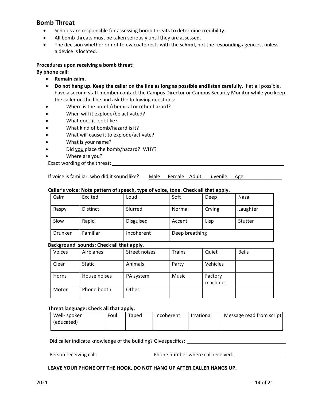## <span id="page-13-0"></span>**Bomb Threat**

- Schools are responsible for assessing bomb threats to determine credibility.
- All bomb threats must be taken seriously until they are assessed.
- The decision whether or not to evacuate rests with the **school**, not the responding agencies, unless a device islocated.

## **Procedures upon receiving a bomb threat:**

#### **By phone call:**

- **Remain calm.**
- **Do not hang up. Keep the caller on the line as long as possible andlisten carefully.** If at all possible, have a second staff member contact the Campus Director or Campus Security Monitor while you keep the caller on the line and ask the following questions:
- Where is the bomb/chemical or other hazard?
- When will it explode/be activated?
- What does it look like?
- What kind of bomb/hazard is it?
- What will cause it to explode/activate?
- What is your name?
- Did you place the bomb/hazard? WHY?
- Where are you?
- Exact wording of the threat:

If voice is familiar, who did it sound like? Male Female Adult Juvenile Age

## **Caller's voice: Note pattern of speech, type of voice, tone. Check all that apply.**

| Calm    | Excited         | Loud             | Soft           | Deep   | Nasal    |
|---------|-----------------|------------------|----------------|--------|----------|
| Raspy   | <b>Distinct</b> | Slurred          | Normal         | Crying | Laughter |
| Slow    | Rapid           | <b>Disguised</b> | Accent         | Lisp   | Stutter  |
| Drunken | Familiar        | Incoherent       | Deep breathing |        |          |

## **Background sounds: Check all that apply.**

| Voices | Airplanes     | Street noises  | <b>Trains</b> | Quiet               | <b>Bells</b> |
|--------|---------------|----------------|---------------|---------------------|--------------|
| Clear  | <b>Static</b> | <b>Animals</b> | Party         | Vehicles            |              |
| Horns  | House noises  | PA system      | Music         | Factory<br>machines |              |
| Motor  | Phone booth   | Other:         |               |                     |              |

#### **Threat language: Check all that apply.**

| Well- spoken | Foul | Taped | Incoherent | Irrational | Message read from script |
|--------------|------|-------|------------|------------|--------------------------|
| (educated)   |      |       |            |            |                          |
|              |      |       |            |            |                          |

Did caller indicate knowledge of the building? Givespecifics:

Person receiving call: <u>Call Community Phone number</u> where call received: Community Phone number where call received:

#### **LEAVE YOUR PHONE OFF THE HOOK. DO NOT HANG UP AFTER CALLER HANGS UP.**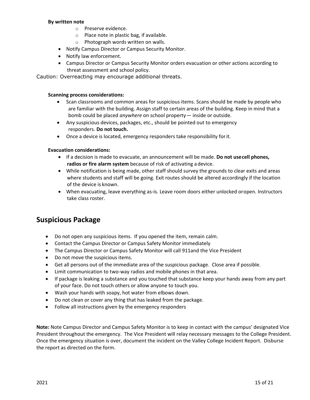#### **By written note**

- o Preserve evidence.
- o Place note in plastic bag, if available.
- o Photograph words written on walls.
- Notify Campus Director or Campus Security Monitor.
- Notify law enforcement.
- Campus Director or Campus Security Monitor orders evacuation or other actions according to threat assessment and school policy.

Caution: Overreacting may encourage additional threats.

#### **Scanning process considerations:**

- Scan classrooms and common areas for suspicious items. Scans should be made by people who are familiar with the building. Assign staff to certain areas of the building. Keep in mind that a bomb could be placed *anywhere* on school property— inside or outside.
- Any suspicious devices, packages, etc., should be pointed out to emergency responders. **Do not touch.**
- Once a device is located, emergency responders take responsibility forit.

#### **Evacuation considerations:**

- If a decision is made to evacuate, an announcement will be made. **Do not usecell phones, radios or fire alarm system** because of risk of activating a device.
- While notification is being made, other staff should survey the grounds to clear exits and areas where students and staff will be going. Exit routes should be altered accordingly if the location of the device is known.
- When evacuating, leave everything as-is. Leave room doors either unlocked oropen. Instructors take class roster.

## <span id="page-14-0"></span>**Suspicious Package**

- Do not open any suspicious items. If you opened the item, remain calm.
- Contact the Campus Director or Campus Safety Monitor immediately
- The Campus Director or Campus Safety Monitor will call 911and the Vice President
- Do not move the suspicious items.
- Get all persons out of the immediate area of the suspicious package. Close area if possible.
- Limit communication to two-way radios and mobile phones in that area.
- If package is leaking a substance and you touched that substance keep your hands away from any part of your face. Do not touch others or allow anyone to touch you.
- Wash your hands with soapy, hot water from elbows down.
- Do not clean or cover any thing that has leaked from the package.
- Follow all instructions given by the emergency responders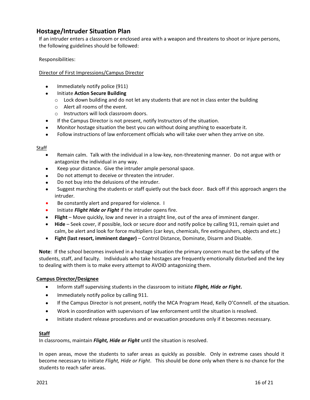## <span id="page-15-0"></span>**Hostage/Intruder Situation Plan**

If an intruder enters a classroom or enclosed area with a weapon and threatens to shoot or injure persons, the following guidelines should be followed:

Responsibilities:

#### Director of First Impressions/Campus Director

- Immediately notify police (911)
- Initiate **Action Secure Building**
	- $\circ$  Lock down building and do not let any students that are not in class enter the building
	- o Alert all rooms of the event.
	- o Instructors will lock classroom doors.
- If the Campus Director is not present, notify Instructors of the situation.
- Monitor hostage situation the best you can without doing anything to exacerbate it.
- Follow instructions of law enforcement officials who will take over when they arrive on site.

#### Staff

- Remain calm. Talk with the individual in a low-key, non-threatening manner. Do not argue with or antagonize the individual in any way.
- Keep your distance. Give the intruder ample personal space.
- Do not attempt to deceive or threaten the intruder.
- Do not buy into the delusions of the intruder.
- Suggest marching the students or staff quietly out the back door. Back off if this approach angers the intruder.
- Be constantly alert and prepared for violence. I
- Initiate *Flight Hide or Fight* if the intruder opens fire.
- **Flight** Move quickly, low and never in a straight line, out of the area of imminent danger.
- **Hide** Seek cover, if possible, lock or secure door and notify police by calling 911, remain quiet and calm, be alert and look for force multipliers (car keys, chemicals, fire extinguishers, objects and etc.)
- **Fight (last resort, imminent danger)** Control Distance, Dominate, Disarm and Disable.

**Note**: If the school becomes involved in a hostage situation the primary concern must be the safety of the students, staff, and faculty. Individuals who take hostages are frequently emotionally disturbed and the key to dealing with them is to make every attempt to AVOID antagonizing them.

#### **Campus Director/Designee**

- Inform staff supervising students in the classroom to initiate *Flight, Hide or Fight***.**
- Immediately notify police by calling 911.
- If the Campus Director is not present, notify the MCA Program Head, Kelly O'Connell. of the situation.
- Work in coordination with supervisors of law enforcement until the situation is resolved.
- Initiate student release procedures and or evacuation procedures only if it becomes necessary.

#### **Staff**

In classrooms, maintain *Flight, Hide or Fight* until the situation is resolved.

In open areas, move the students to safer areas as quickly as possible. Only in extreme cases should it become necessary to initiate *Flight, Hide or Fight*. This should be done only when there is no chance for the students to reach safer areas.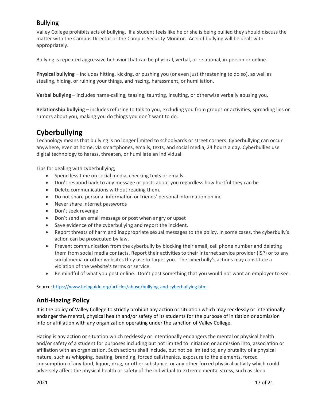## <span id="page-16-0"></span>Bullying

Valley College prohibits acts of bullying. If a student feels like he or she is being bullied they should discuss the matter with the Campus Director or the Campus Security Monitor. Acts of bullying will be dealt with appropriately.

Bullying is repeated aggressive behavior that can be physical, verbal, or relational, in-person or online.

**Physical bullying** – includes hitting, kicking, or pushing you (or even just threatening to do so), as well as stealing, hiding, or ruining your things, and hazing, harassment, or humiliation.

**Verbal bullying** – includes name-calling, teasing, taunting, insulting, or otherwise verbally abusing you.

**Relationship bullying** – includes refusing to talk to you, excluding you from groups or activities, spreading lies or rumors about you, making you do things you don't want to do.

## <span id="page-16-1"></span>**Cyberbullying**

Technology means that bullying is no longer limited to schoolyards or street corners. Cyberbullying can occur anywhere, even at home, via smartphones, emails, texts, and social media, 24 hours a day. Cyberbullies use digital technology to harass, threaten, or humiliate an individual.

Tips for dealing with cyberbullying;

- Spend less time on social media, checking texts or emails.
- Don't respond back to any message or posts about you regardless how hurtful they can be
- Delete communications without reading them.
- Do not share personal information or friends' personal information online
- Never share Internet passwords
- Don't seek revenge
- Don't send an email message or post when angry or upset
- Save evidence of the cyberbullying and report the incident.
- Report threats of harm and inappropriate sexual messages to the policy. In some cases, the cyberbully's action can be prosecuted by law.
- Prevent communication from the cyberbully by blocking their email, cell phone number and deleting them from social media contacts. Report their activities to their Internet service provider (ISP) or to any social media or other websites they use to target you. The cyberbully's actions may constitute a violation of the website's terms or service.
- Be mindful of what you post online. Don't post something that you would not want an employer to see.

Source: <https://www.helpguide.org/articles/abuse/bullying-and-cyberbullying.htm>

## <span id="page-16-2"></span>**Anti-Hazing Policy**

It is the policy of Valley College to strictly prohibit any action or situation which may recklessly or intentionally endanger the mental, physical health and/or safety of its students for the purpose of initiation or admission into or affiliation with any organization operating under the sanction of Valley College.

Hazing is any action or situation which recklessly or intentionally endangers the mental or physical health and/or safety of a student for purposes including but not limited to initiation or admission into, association or affiliation with an organization. Such actions shall include, but not be limited to, any brutality of a physical nature, such as whipping, beating, branding, forced calisthenics, exposure to the elements, forced consumption of any food, liquor, drug, or other substance, or any other forced physical activity which could adversely affect the physical health or safety of the individual to extreme mental stress, such as sleep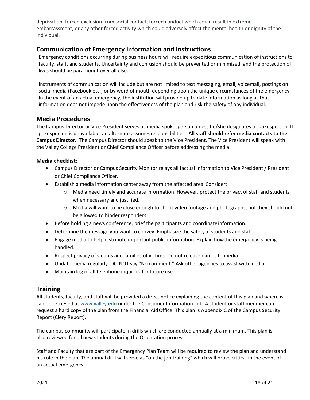deprivation, forced exclusion from social contact, forced conduct which could result in extreme embarrassment, or any other forced activity which could adversely affect the mental health or dignity of the individual.

## <span id="page-17-0"></span>**Communication of Emergency Information and Instructions**

Emergency conditions occurring during business hours will require expeditious communication of instructions to faculty, staff, and students. Uncertainty and confusion should be prevented or minimized, and the protection of lives should be paramount over all else.

Instruments of communication will include but are not limited to text messaging, email, voicemail, postings on social media (Facebook etc.) or by word of mouth depending upon the unique circumstances of the emergency. In the event of an actual emergency, the institution will provide up to date information as long as that information does not impede upon the effectiveness of the plan and risk the safety of any individual.

## <span id="page-17-1"></span>**Media Procedures**

The Campus Director or Vice President serves as media spokesperson unless he/she designates a spokesperson. If spokesperson is unavailable, an alternate assumesresponsibilities. **All staff should refer media contacts to the Campus Director.** The Campus Director should speak to the Vice President. The Vice President will speak with the Valley College President or Chief Compliance Officer before addressing the media.

## **Media checklist:**

- Campus Director or Campus Security Monitor relays all factual information to Vice President / President or Chief Compliance Officer.
- Establish a media information center away from the affected area. Consider:
	- $\circ$  Media need timely and accurate information. However, protect the privacy of staff and students when necessary and justified.
	- o Media will want to be close enough to shoot video footage and photographs, but they should not be allowed to hinder responders.
- Before holding a news conference, brief the participants and coordinate information.
- Determine the message you want to convey. Emphasize the safetyof students and staff.
- Engage media to help distribute important public information. Explain howthe emergency is being handled.
- Respect privacy of victims and families of victims. Do not release names to media.
- Update media regularly. DO NOT say "No comment." Ask other agencies to assist with media.
- Maintain log of all telephone inquiries for future use.

## <span id="page-17-2"></span>**Training**

All students, faculty, and staff will be provided a direct notice explaining the content of this plan and where is can be retrieved at [www.valley.edu](http://www.valley.edu/) under the Consumer Information link. A student or staff member can request a hard copy of the plan from the Financial AidOffice. This plan is Appendix C of the Campus Security Report (Clery Report).

The campus community will participate in drills which are conducted annually at a minimum. This plan is also reviewed for all new students during the Orientation process.

Staff and Faculty that are part of the Emergency Plan Team will be required to review the plan and understand his role in the plan. The annual drill will serve as "on the job training" which will prove critical in the event of an actual emergency.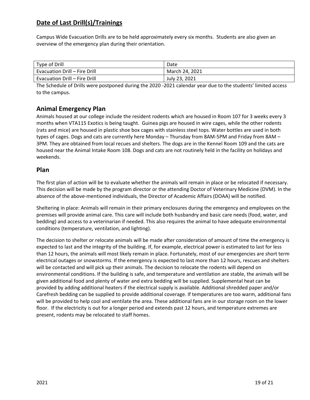## <span id="page-18-0"></span>**Date of Last Drill(s)/Trainings**

Campus Wide Evacuation Drills are to be held approximately every six months. Students are also given an overview of the emergency plan during their orientation.

| Type of Drill                        | Date           |
|--------------------------------------|----------------|
| <b>Evacuation Drill - Fire Drill</b> | March 24, 2021 |
| <b>Evacuation Drill - Fire Drill</b> | July 23, 2021  |

The Schedule of Drills were postponed during the 2020 -2021 calendar year due to the students' limited access to the campus.

## <span id="page-18-1"></span>**Animal Emergency Plan**

Animals housed at our college include the resident rodents which are housed in Room 107 for 3 weeks every 3 months when VTA115 Exotics is being taught. Guinea pigs are housed in wire cages, while the other rodents (rats and mice) are housed in plastic shoe box cages with stainless steel tops. Water bottles are used in both types of cages. Dogs and cats are currently here Monday – Thursday from 8AM-5PM and Friday from 8AM – 3PM. They are obtained from local recues and shelters. The dogs are in the Kennel Room 109 and the cats are housed near the Animal Intake Room 108. Dogs and cats are not routinely held in the facility on holidays and weekends.

## **Plan**

The first plan of action will be to evaluate whether the animals will remain in place or be relocated if necessary. This decision will be made by the program director or the attending Doctor of Veterinary Medicine (DVM). In the absence of the above-mentioned individuals, the Director of Academic Affairs (DOAA) will be notified.

Sheltering in place: Animals will remain in their primary enclosures during the emergency and employees on the premises will provide animal care. This care will include both husbandry and basic care needs (food, water, and bedding) and access to a veterinarian if needed. This also requires the animal to have adequate environmental conditions (temperature, ventilation, and lighting).

The decision to shelter or relocate animals will be made after consideration of amount of time the emergency is expected to last and the integrity of the building. If, for example, electrical power is estimated to last for less than 12 hours, the animals will most likely remain in place. Fortunately, most of our emergencies are short term electrical outages or snowstorms. If the emergency is expected to last more than 12 hours, rescues and shelters will be contacted and will pick up their animals. The decision to relocate the rodents will depend on environmental conditions. If the building is safe, and temperature and ventilation are stable, the animals will be given additional food and plenty of water and extra bedding will be supplied. Supplemental heat can be provided by adding additional heaters if the electrical supply is available. Additional shredded paper and/or Carefresh bedding can be supplied to provide additional coverage. If temperatures are too warm, additional fans will be provided to help cool and ventilate the area. These additional fans are in our storage room on the lower floor. If the electricity is out for a longer period and extends past 12 hours, and temperature extremes are present, rodents may be relocated to staff homes.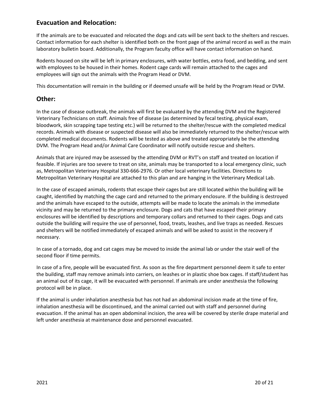## **Evacuation and Relocation:**

If the animals are to be evacuated and relocated the dogs and cats will be sent back to the shelters and rescues. Contact information for each shelter is identified both on the front page of the animal record as well as the main laboratory bulletin board. Additionally, the Program faculty office will have contact information on hand.

Rodents housed on site will be left in primary enclosures, with water bottles, extra food, and bedding, and sent with employees to be housed in their homes. Rodent cage cards will remain attached to the cages and employees will sign out the animals with the Program Head or DVM.

This documentation will remain in the building or if deemed unsafe will be held by the Program Head or DVM.

## **Other:**

In the case of disease outbreak, the animals will first be evaluated by the attending DVM and the Registered Veterinary Technicians on staff. Animals free of disease (as determined by fecal testing, physical exam, bloodwork, skin scrapping tape testing etc.) will be returned to the shelter/rescue with the completed medical records. Animals with disease or suspected disease will also be immediately returned to the shelter/rescue with completed medical documents. Rodents will be tested as above and treated appropriately be the attending DVM. The Program Head and/or Animal Care Coordinator will notify outside rescue and shelters.

Animals that are injured may be assessed by the attending DVM or RVT's on staff and treated on location if feasible. If injuries are too severe to treat on site, animals may be transported to a local emergency clinic, such as, Metropolitan Veterinary Hospital 330-666-2976. Or other local veterinary facilities. Directions to Metropolitan Veterinary Hospital are attached to this plan and are hanging in the Veterinary Medical Lab.

In the case of escaped animals, rodents that escape their cages but are still located within the building will be caught, identified by matching the cage card and returned to the primary enclosure. If the building is destroyed and the animals have escaped to the outside, attempts will be made to locate the animals in the immediate vicinity and may be returned to the primary enclosure. Dogs and cats that have escaped their primary enclosures will be identified by descriptions and temporary collars and returned to their cages. Dogs and cats outside the building will require the use of personnel, food, treats, leashes, and live traps as needed. Rescues and shelters will be notified immediately of escaped animals and will be asked to assist in the recovery if necessary.

In case of a tornado, dog and cat cages may be moved to inside the animal lab or under the stair well of the second floor if time permits.

In case of a fire, people will be evacuated first. As soon as the fire department personnel deem it safe to enter the building, staff may remove animals into carriers, on leashes or in plastic shoe box cages. If staff/student has an animal out of its cage, it will be evacuated with personnel. If animals are under anesthesia the following protocol will be in place.

If the animal is under inhalation anesthesia but has not had an abdominal incision made at the time of fire, inhalation anesthesia will be discontinued, and the animal carried out with staff and personnel during evacuation. If the animal has an open abdominal incision, the area will be covered by sterile drape material and left under anesthesia at maintenance dose and personnel evacuated.